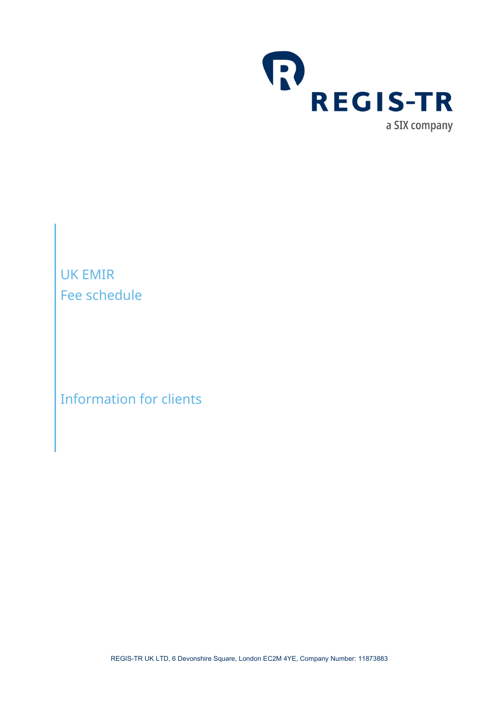

Information for clients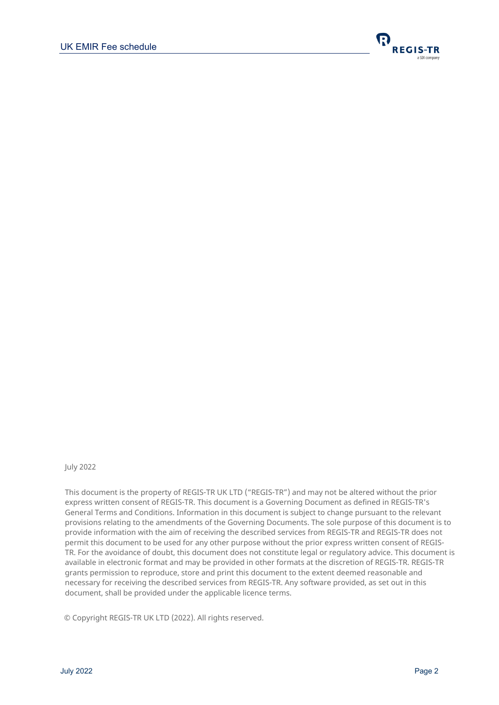

#### July 2022

This document is the property of REGIS-TR UK LTD ("REGIS-TR") and may not be altered without the prior express written consent of REGIS-TR. This document is a Governing Document as defined in REGIS-TR's General Terms and Conditions. Information in this document is subject to change pursuant to the relevant provisions relating to the amendments of the Governing Documents. The sole purpose of this document is to provide information with the aim of receiving the described services from REGIS-TR and REGIS-TR does not permit this document to be used for any other purpose without the prior express written consent of REGIS-TR. For the avoidance of doubt, this document does not constitute legal or regulatory advice. This document is available in electronic format and may be provided in other formats at the discretion of REGIS-TR. REGIS-TR grants permission to reproduce, store and print this document to the extent deemed reasonable and necessary for receiving the described services from REGIS-TR. Any software provided, as set out in this document, shall be provided under the applicable licence terms.

© Copyright REGIS-TR UK LTD (2022). All rights reserved.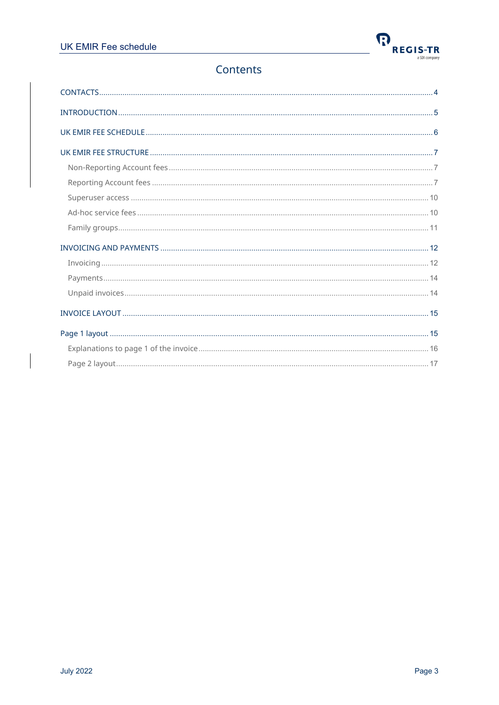

# Contents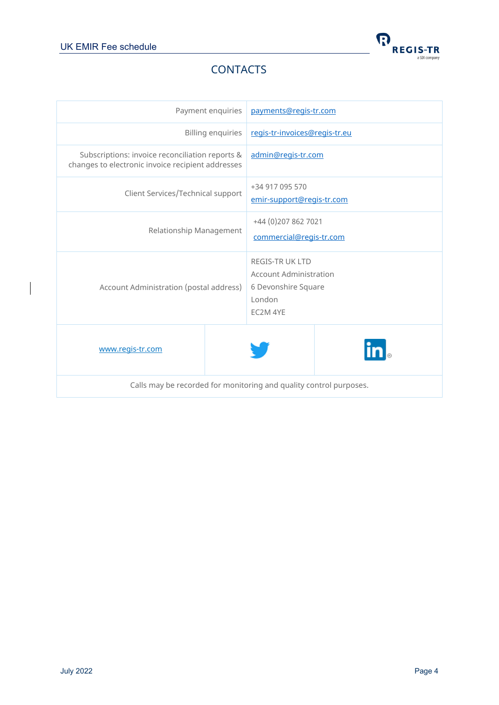

# **CONTACTS**

<span id="page-3-0"></span>

|                                                                                                      | Payment enquiries        | payments@regis-tr.com                                                                                |  |
|------------------------------------------------------------------------------------------------------|--------------------------|------------------------------------------------------------------------------------------------------|--|
|                                                                                                      | <b>Billing enquiries</b> | regis-tr-invoices@regis-tr.eu                                                                        |  |
| Subscriptions: invoice reconciliation reports &<br>changes to electronic invoice recipient addresses |                          | admin@regis-tr.com                                                                                   |  |
| Client Services/Technical support                                                                    |                          | +34 917 095 570<br>emir-support@regis-tr.com                                                         |  |
| Relationship Management                                                                              |                          | +44 (0) 207 862 7021<br>commercial@regis-tr.com                                                      |  |
| Account Administration (postal address)                                                              |                          | <b>REGIS-TR UK LTD</b><br><b>Account Administration</b><br>6 Devonshire Square<br>London<br>EC2M 4YE |  |
| www.regis-tr.com                                                                                     |                          |                                                                                                      |  |
| Calls may be recorded for monitoring and quality control purposes.                                   |                          |                                                                                                      |  |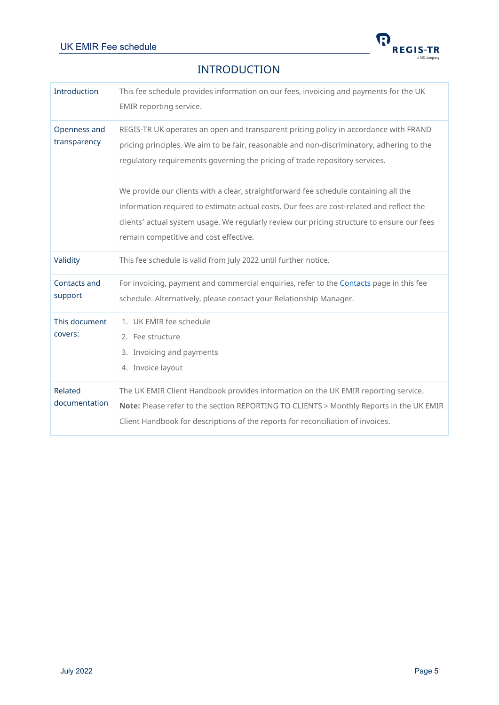

### INTRODUCTION

<span id="page-4-0"></span>

| Introduction                 | This fee schedule provides information on our fees, invoicing and payments for the UK<br>EMIR reporting service.                                                                                                                                                                                                                                                                                                                                                                                                                                                                             |
|------------------------------|----------------------------------------------------------------------------------------------------------------------------------------------------------------------------------------------------------------------------------------------------------------------------------------------------------------------------------------------------------------------------------------------------------------------------------------------------------------------------------------------------------------------------------------------------------------------------------------------|
| Openness and<br>transparency | REGIS-TR UK operates an open and transparent pricing policy in accordance with FRAND<br>pricing principles. We aim to be fair, reasonable and non-discriminatory, adhering to the<br>regulatory requirements governing the pricing of trade repository services.<br>We provide our clients with a clear, straightforward fee schedule containing all the<br>information required to estimate actual costs. Our fees are cost-related and reflect the<br>clients' actual system usage. We regularly review our pricing structure to ensure our fees<br>remain competitive and cost effective. |
| Validity                     | This fee schedule is valid from July 2022 until further notice.                                                                                                                                                                                                                                                                                                                                                                                                                                                                                                                              |
| Contacts and<br>support      | For invoicing, payment and commercial enquiries, refer to the Contacts page in this fee<br>schedule. Alternatively, please contact your Relationship Manager.                                                                                                                                                                                                                                                                                                                                                                                                                                |
| This document<br>covers:     | 1. UK EMIR fee schedule<br>2. Fee structure<br>3. Invoicing and payments<br>4. Invoice layout                                                                                                                                                                                                                                                                                                                                                                                                                                                                                                |
| Related<br>documentation     | The UK EMIR Client Handbook provides information on the UK EMIR reporting service.<br>Note: Please refer to the section REPORTING TO CLIENTS > Monthly Reports in the UK EMIR<br>Client Handbook for descriptions of the reports for reconciliation of invoices.                                                                                                                                                                                                                                                                                                                             |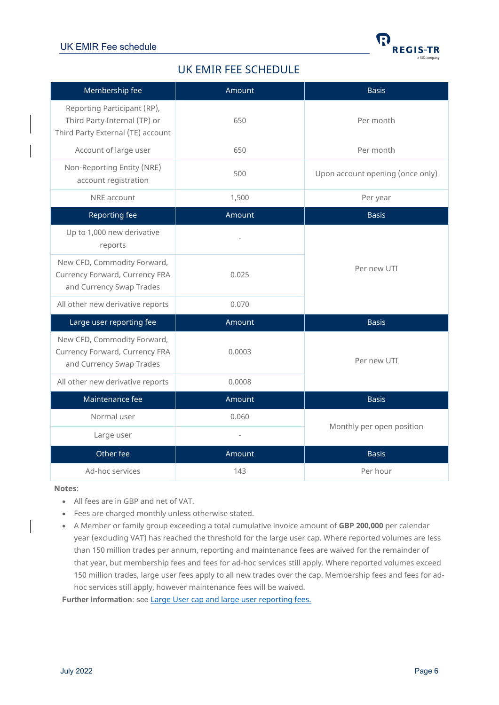

# UK EMIR FEE SCHEDULE

<span id="page-5-0"></span>

| Membership fee                                                                                   | Amount | <b>Basis</b>                     |  |
|--------------------------------------------------------------------------------------------------|--------|----------------------------------|--|
| Reporting Participant (RP),<br>Third Party Internal (TP) or<br>Third Party External (TE) account | 650    | Per month                        |  |
| Account of large user                                                                            | 650    | Per month                        |  |
| Non-Reporting Entity (NRE)<br>account registration                                               | 500    | Upon account opening (once only) |  |
| NRE account                                                                                      | 1,500  | Per year                         |  |
| Reporting fee                                                                                    | Amount | <b>Basis</b>                     |  |
| Up to 1,000 new derivative<br>reports                                                            |        |                                  |  |
| New CFD, Commodity Forward,<br>Currency Forward, Currency FRA<br>and Currency Swap Trades        | 0.025  | Per new UTI                      |  |
| All other new derivative reports                                                                 | 0.070  |                                  |  |
| Large user reporting fee                                                                         | Amount | <b>Basis</b>                     |  |
| New CFD, Commodity Forward,<br>Currency Forward, Currency FRA<br>and Currency Swap Trades        | 0.0003 | Per new UTI                      |  |
| All other new derivative reports                                                                 | 0.0008 |                                  |  |
| Maintenance fee                                                                                  | Amount | <b>Basis</b>                     |  |
| Normal user                                                                                      | 0.060  |                                  |  |
| Large user                                                                                       |        | Monthly per open position        |  |
| Other fee                                                                                        | Amount | <b>Basis</b>                     |  |
| Ad-hoc services                                                                                  | 143    | Per hour                         |  |

**Notes**:

- All fees are in GBP and net of VAT.
- Fees are charged monthly unless otherwise stated.
- A Member or family group exceeding a total cumulative invoice amount of **GBP 200,000** per calendar year (excluding VAT) has reached the threshold for the large user cap. Where reported volumes are less than 150 million trades per annum, reporting and maintenance fees are waived for the remainder of that year, but membership fees and fees for ad-hoc services still apply. Where reported volumes exceed 150 million trades, large user fees apply to all new trades over the cap. Membership fees and fees for adhoc services still apply, however maintenance fees will be waived.

Further information: see **[Large User cap and large user reporting fees.](#page-8-0)**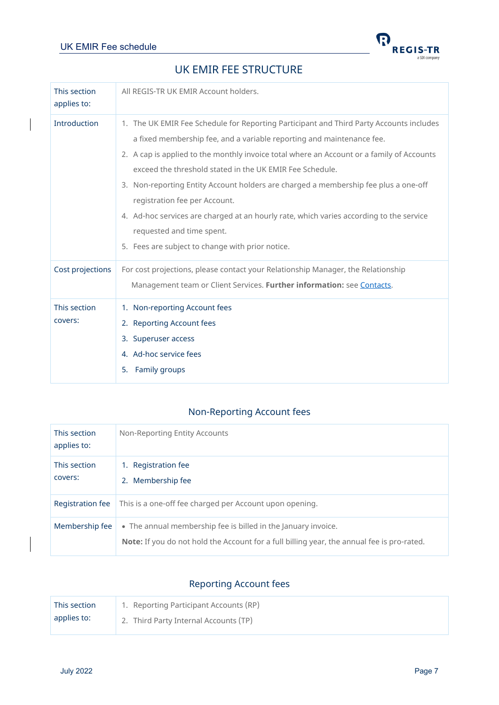

# UK EMIR FEE STRUCTURE

<span id="page-6-0"></span>

| This section<br>applies to: | All REGIS-TR UK EMIR Account holders.                                                                                                                                                                                                                                                                                                                                                                                                                                                                                                                                                                                         |
|-----------------------------|-------------------------------------------------------------------------------------------------------------------------------------------------------------------------------------------------------------------------------------------------------------------------------------------------------------------------------------------------------------------------------------------------------------------------------------------------------------------------------------------------------------------------------------------------------------------------------------------------------------------------------|
| <b>Introduction</b>         | 1. The UK EMIR Fee Schedule for Reporting Participant and Third Party Accounts includes<br>a fixed membership fee, and a variable reporting and maintenance fee.<br>2. A cap is applied to the monthly invoice total where an Account or a family of Accounts<br>exceed the threshold stated in the UK EMIR Fee Schedule.<br>3. Non-reporting Entity Account holders are charged a membership fee plus a one-off<br>registration fee per Account.<br>4. Ad-hoc services are charged at an hourly rate, which varies according to the service<br>requested and time spent.<br>5. Fees are subject to change with prior notice. |
| Cost projections            | For cost projections, please contact your Relationship Manager, the Relationship<br>Management team or Client Services. Further information: see Contacts.                                                                                                                                                                                                                                                                                                                                                                                                                                                                    |
| This section<br>covers:     | 1. Non-reporting Account fees<br>2. Reporting Account fees<br>3. Superuser access<br>4. Ad-hoc service fees<br>Family groups<br>5.                                                                                                                                                                                                                                                                                                                                                                                                                                                                                            |

# Non-Reporting Account fees

<span id="page-6-1"></span>

| This section<br>applies to: | Non-Reporting Entity Accounts                                                                                                                                      |
|-----------------------------|--------------------------------------------------------------------------------------------------------------------------------------------------------------------|
| This section<br>covers:     | <b>Registration fee</b><br>1.<br>Membership fee<br>2.                                                                                                              |
| Registration fee            | This is a one-off fee charged per Account upon opening.                                                                                                            |
| Membership fee              | • The annual membership fee is billed in the January invoice.<br><b>Note:</b> If you do not hold the Account for a full billing year, the annual fee is pro-rated. |

# Reporting Account fees

<span id="page-6-2"></span>

| This section | 1. Reporting Participant Accounts (RP) |
|--------------|----------------------------------------|
| applies to:  | 2. Third Party Internal Accounts (TP)  |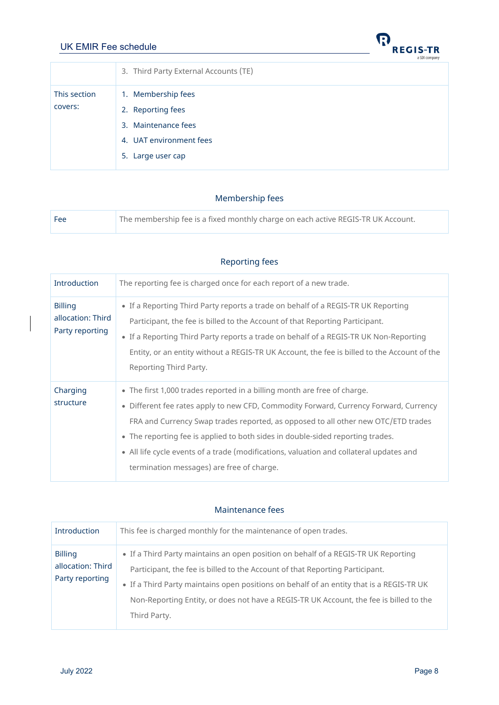| <b>UK EMIR Fee schedule</b> |                                       | INV<br><b>REGIS-TR</b><br>a SIX company |
|-----------------------------|---------------------------------------|-----------------------------------------|
|                             | 3. Third Party External Accounts (TE) |                                         |
| This section                | 1. Membership fees                    |                                         |
| covers:                     | 2. Reporting fees                     |                                         |
|                             | 3. Maintenance fees                   |                                         |
|                             | 4. UAT environment fees               |                                         |
|                             | 5. Large user cap                     |                                         |
|                             |                                       |                                         |

 $\boldsymbol{\Omega}$ 

#### Membership fees

| l Fee | The membership fee is a fixed monthly charge on each active REGIS-TR UK Account. |
|-------|----------------------------------------------------------------------------------|
|       |                                                                                  |

| Introduction                                           | The reporting fee is charged once for each report of a new trade.                                                                                                                                                                                                                                                                                                                                                                                                                |
|--------------------------------------------------------|----------------------------------------------------------------------------------------------------------------------------------------------------------------------------------------------------------------------------------------------------------------------------------------------------------------------------------------------------------------------------------------------------------------------------------------------------------------------------------|
| <b>Billing</b><br>allocation: Third<br>Party reporting | • If a Reporting Third Party reports a trade on behalf of a REGIS-TR UK Reporting<br>Participant, the fee is billed to the Account of that Reporting Participant.<br>• If a Reporting Third Party reports a trade on behalf of a REGIS-TR UK Non-Reporting<br>Entity, or an entity without a REGIS-TR UK Account, the fee is billed to the Account of the<br>Reporting Third Party.                                                                                              |
| Charging<br>structure                                  | • The first 1,000 trades reported in a billing month are free of charge.<br>• Different fee rates apply to new CFD, Commodity Forward, Currency Forward, Currency<br>FRA and Currency Swap trades reported, as opposed to all other new OTC/ETD trades<br>• The reporting fee is applied to both sides in double-sided reporting trades.<br>• All life cycle events of a trade (modifications, valuation and collateral updates and<br>termination messages) are free of charge. |

# Reporting fees

#### Maintenance fees

| Introduction                                           | This fee is charged monthly for the maintenance of open trades.                                                                                                                                                                                                                                                                                                          |
|--------------------------------------------------------|--------------------------------------------------------------------------------------------------------------------------------------------------------------------------------------------------------------------------------------------------------------------------------------------------------------------------------------------------------------------------|
| <b>Billing</b><br>allocation: Third<br>Party reporting | • If a Third Party maintains an open position on behalf of a REGIS-TR UK Reporting<br>Participant, the fee is billed to the Account of that Reporting Participant.<br>• If a Third Party maintains open positions on behalf of an entity that is a REGIS-TR UK<br>Non-Reporting Entity, or does not have a REGIS-TR UK Account, the fee is billed to the<br>Third Party. |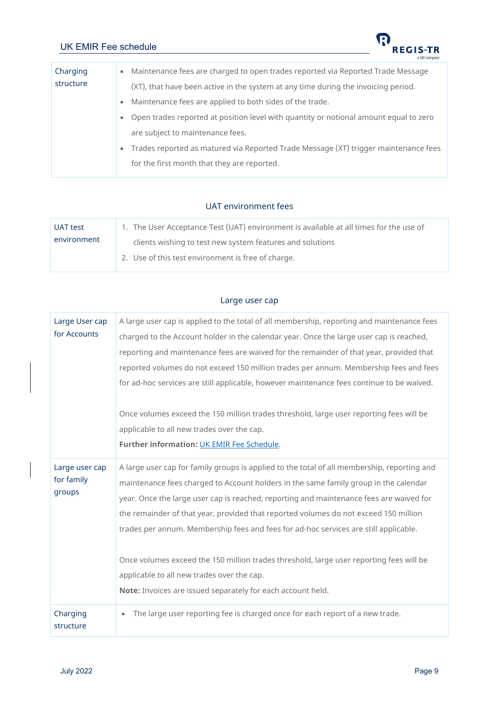

| (XT), that have been active in the system at any time during the invoicing period.    |
|---------------------------------------------------------------------------------------|
|                                                                                       |
|                                                                                       |
| Open trades reported at position level with quantity or notional amount equal to zero |
|                                                                                       |
| Trades reported as matured via Reported Trade Message (XT) trigger maintenance fees   |
|                                                                                       |
|                                                                                       |

#### UAT environment fees

| UAT test    | 1. The User Acceptance Test (UAT) environment is available at all times for the use of |  |
|-------------|----------------------------------------------------------------------------------------|--|
| environment | clients wishing to test new system features and solutions                              |  |
|             | 2. Use of this test environment is free of charge.                                     |  |

#### Large user cap

<span id="page-8-0"></span>

| Large User cap<br>for Accounts         | A large user cap is applied to the total of all membership, reporting and maintenance fees<br>charged to the Account holder in the calendar year. Once the large user cap is reached,<br>reporting and maintenance fees are waived for the remainder of that year, provided that<br>reported volumes do not exceed 150 million trades per annum. Membership fees and fees<br>for ad-hoc services are still applicable, however maintenance fees continue to be waived.                                                                                                                                                                                                 |  |  |  |
|----------------------------------------|------------------------------------------------------------------------------------------------------------------------------------------------------------------------------------------------------------------------------------------------------------------------------------------------------------------------------------------------------------------------------------------------------------------------------------------------------------------------------------------------------------------------------------------------------------------------------------------------------------------------------------------------------------------------|--|--|--|
|                                        | Once volumes exceed the 150 million trades threshold, large user reporting fees will be<br>applicable to all new trades over the cap.<br>Further information: UK EMIR Fee Schedule.                                                                                                                                                                                                                                                                                                                                                                                                                                                                                    |  |  |  |
| Large user cap<br>for family<br>groups | A large user cap for family groups is applied to the total of all membership, reporting and<br>maintenance fees charged to Account holders in the same family group in the calendar<br>year. Once the large user cap is reached, reporting and maintenance fees are waived for<br>the remainder of that year, provided that reported volumes do not exceed 150 million<br>trades per annum. Membership fees and fees for ad-hoc services are still applicable.<br>Once volumes exceed the 150 million trades threshold, large user reporting fees will be<br>applicable to all new trades over the cap.<br>Note: Invoices are issued separately for each account held. |  |  |  |
| Charging<br>structure                  | The large user reporting fee is charged once for each report of a new trade.<br>$\bullet$                                                                                                                                                                                                                                                                                                                                                                                                                                                                                                                                                                              |  |  |  |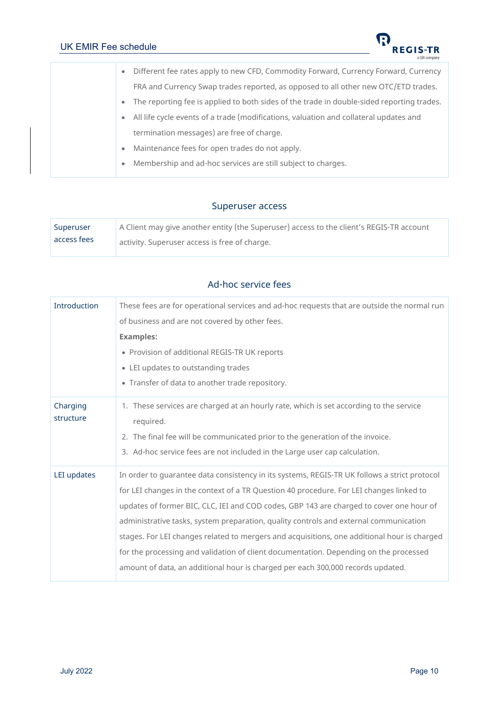

|  | Different fee rates apply to new CFD, Commodity Forward, Currency Forward, Currency<br>$\bullet$       |
|--|--------------------------------------------------------------------------------------------------------|
|  | FRA and Currency Swap trades reported, as opposed to all other new OTC/ETD trades.                     |
|  | The reporting fee is applied to both sides of the trade in double-sided reporting trades.<br>$\bullet$ |
|  | All life cycle events of a trade (modifications, valuation and collateral updates and<br>$\bullet$     |
|  | termination messages) are free of charge.                                                              |
|  | Maintenance fees for open trades do not apply.<br>$\bullet$                                            |
|  | Membership and ad-hoc services are still subject to charges.<br>$\bullet$                              |
|  |                                                                                                        |

#### Superuser access

<span id="page-9-1"></span><span id="page-9-0"></span>

| Superuser   | A Client may give another entity (the Superuser) access to the client's REGIS-TR account |  |  |
|-------------|------------------------------------------------------------------------------------------|--|--|
| access fees | activity. Superuser access is free of charge.                                            |  |  |

### Ad-hoc service fees

| Introduction                                                                                                                 | These fees are for operational services and ad-hoc requests that are outside the normal run  |  |  |  |
|------------------------------------------------------------------------------------------------------------------------------|----------------------------------------------------------------------------------------------|--|--|--|
|                                                                                                                              | of business and are not covered by other fees.                                               |  |  |  |
|                                                                                                                              | <b>Examples:</b>                                                                             |  |  |  |
|                                                                                                                              | • Provision of additional REGIS-TR UK reports                                                |  |  |  |
|                                                                                                                              | • LEI updates to outstanding trades                                                          |  |  |  |
|                                                                                                                              | • Transfer of data to another trade repository.                                              |  |  |  |
| 1. These services are charged at an hourly rate, which is set according to the service<br>Charging<br>structure<br>required. |                                                                                              |  |  |  |
|                                                                                                                              | 2. The final fee will be communicated prior to the generation of the invoice.                |  |  |  |
|                                                                                                                              | 3. Ad-hoc service fees are not included in the Large user cap calculation.                   |  |  |  |
| LEI updates                                                                                                                  | In order to guarantee data consistency in its systems, REGIS-TR UK follows a strict protocol |  |  |  |
|                                                                                                                              | for LEI changes in the context of a TR Question 40 procedure. For LEI changes linked to      |  |  |  |
|                                                                                                                              | updates of former BIC, CLC, IEI and COD codes, GBP 143 are charged to cover one hour of      |  |  |  |
|                                                                                                                              | administrative tasks, system preparation, quality controls and external communication        |  |  |  |
|                                                                                                                              | stages. For LEI changes related to mergers and acquisitions, one additional hour is charged  |  |  |  |
|                                                                                                                              | for the processing and validation of client documentation. Depending on the processed        |  |  |  |
|                                                                                                                              | amount of data, an additional hour is charged per each 300,000 records updated.              |  |  |  |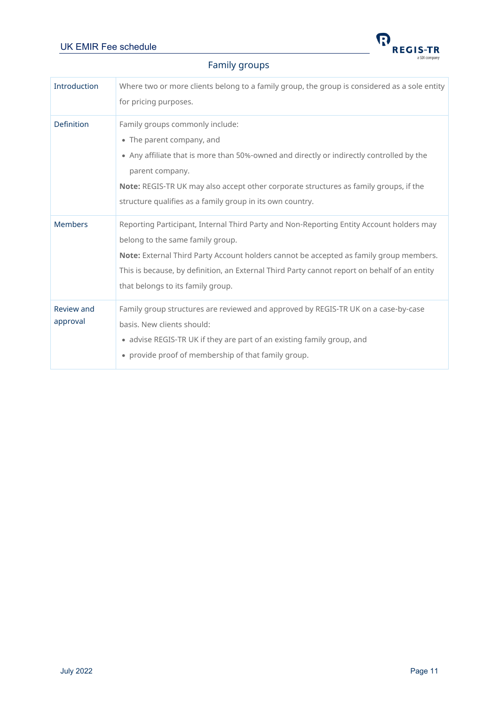

# Family groups

<span id="page-10-0"></span>

| Introduction           | Where two or more clients belong to a family group, the group is considered as a sole entity<br>for pricing purposes.                                                                                                                                                                                                                                       |  |
|------------------------|-------------------------------------------------------------------------------------------------------------------------------------------------------------------------------------------------------------------------------------------------------------------------------------------------------------------------------------------------------------|--|
| <b>Definition</b>      | Family groups commonly include:<br>• The parent company, and<br>• Any affiliate that is more than 50%-owned and directly or indirectly controlled by the<br>parent company.<br>Note: REGIS-TR UK may also accept other corporate structures as family groups, if the<br>structure qualifies as a family group in its own country.                           |  |
| <b>Members</b>         | Reporting Participant, Internal Third Party and Non-Reporting Entity Account holders may<br>belong to the same family group.<br>Note: External Third Party Account holders cannot be accepted as family group members.<br>This is because, by definition, an External Third Party cannot report on behalf of an entity<br>that belongs to its family group. |  |
| Review and<br>approval | Family group structures are reviewed and approved by REGIS-TR UK on a case-by-case<br>basis. New clients should:<br>• advise REGIS-TR UK if they are part of an existing family group, and<br>• provide proof of membership of that family group.                                                                                                           |  |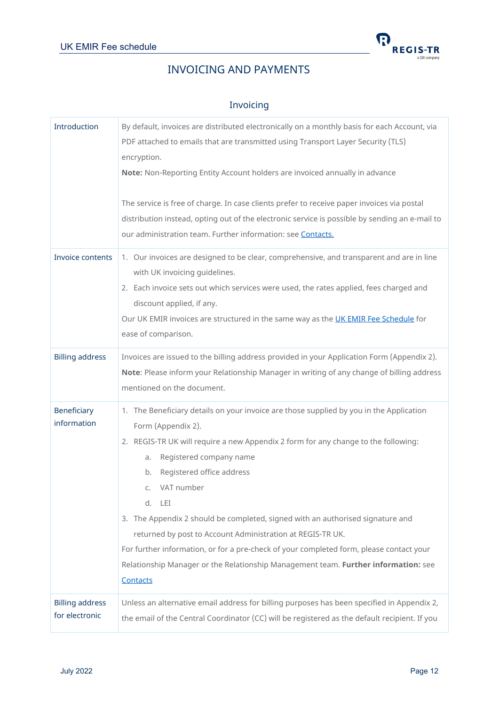

# INVOICING AND PAYMENTS

#### Invoicing

<span id="page-11-1"></span><span id="page-11-0"></span>

| Introduction                                                                                                                                                                                                                            | By default, invoices are distributed electronically on a monthly basis for each Account, via<br>PDF attached to emails that are transmitted using Transport Layer Security (TLS)<br>encryption.<br>Note: Non-Reporting Entity Account holders are invoiced annually in advance<br>The service is free of charge. In case clients prefer to receive paper invoices via postal<br>distribution instead, opting out of the electronic service is possible by sending an e-mail to<br>our administration team. Further information: see <b>Contacts.</b>                                                                                               |
|-----------------------------------------------------------------------------------------------------------------------------------------------------------------------------------------------------------------------------------------|----------------------------------------------------------------------------------------------------------------------------------------------------------------------------------------------------------------------------------------------------------------------------------------------------------------------------------------------------------------------------------------------------------------------------------------------------------------------------------------------------------------------------------------------------------------------------------------------------------------------------------------------------|
| Invoice contents                                                                                                                                                                                                                        | 1. Our invoices are designed to be clear, comprehensive, and transparent and are in line<br>with UK invoicing guidelines.<br>2. Each invoice sets out which services were used, the rates applied, fees charged and<br>discount applied, if any.<br>Our UK EMIR invoices are structured in the same way as the UK EMIR Fee Schedule for<br>ease of comparison.                                                                                                                                                                                                                                                                                     |
| <b>Billing address</b>                                                                                                                                                                                                                  | Invoices are issued to the billing address provided in your Application Form (Appendix 2).<br>Note: Please inform your Relationship Manager in writing of any change of billing address<br>mentioned on the document.                                                                                                                                                                                                                                                                                                                                                                                                                              |
| Beneficiary<br>information                                                                                                                                                                                                              | 1. The Beneficiary details on your invoice are those supplied by you in the Application<br>Form (Appendix 2).<br>2. REGIS-TR UK will require a new Appendix 2 form for any change to the following:<br>Registered company name<br>a.<br>Registered office address<br>b.<br>VAT number<br>C.<br>d. LEI<br>3. The Appendix 2 should be completed, signed with an authorised signature and<br>returned by post to Account Administration at REGIS-TR UK.<br>For further information, or for a pre-check of your completed form, please contact your<br>Relationship Manager or the Relationship Management team. Further information: see<br>Contacts |
| <b>Billing address</b><br>Unless an alternative email address for billing purposes has been specified in Appendix 2,<br>for electronic<br>the email of the Central Coordinator (CC) will be registered as the default recipient. If you |                                                                                                                                                                                                                                                                                                                                                                                                                                                                                                                                                                                                                                                    |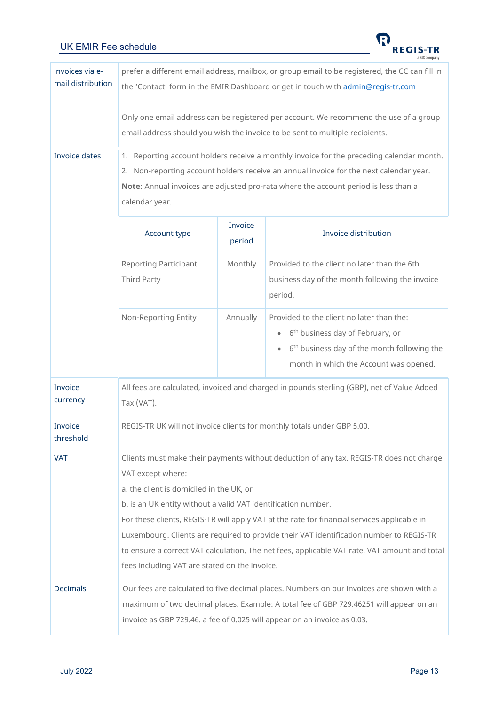

| invoices via e-<br>mail distribution | prefer a different email address, mailbox, or group email to be registered, the CC can fill in<br>the 'Contact' form in the EMIR Dashboard or get in touch with admin@regis-tr.com                                                                                                                                                                                                                                                                                                                                                                                   |                   |                                                                                                                                                                                                                          |  |  |
|--------------------------------------|----------------------------------------------------------------------------------------------------------------------------------------------------------------------------------------------------------------------------------------------------------------------------------------------------------------------------------------------------------------------------------------------------------------------------------------------------------------------------------------------------------------------------------------------------------------------|-------------------|--------------------------------------------------------------------------------------------------------------------------------------------------------------------------------------------------------------------------|--|--|
|                                      | Only one email address can be registered per account. We recommend the use of a group<br>email address should you wish the invoice to be sent to multiple recipients.                                                                                                                                                                                                                                                                                                                                                                                                |                   |                                                                                                                                                                                                                          |  |  |
| <b>Invoice dates</b>                 | 1. Reporting account holders receive a monthly invoice for the preceding calendar month.<br>2. Non-reporting account holders receive an annual invoice for the next calendar year.<br>Note: Annual invoices are adjusted pro-rata where the account period is less than a<br>calendar year.                                                                                                                                                                                                                                                                          |                   |                                                                                                                                                                                                                          |  |  |
|                                      | Account type                                                                                                                                                                                                                                                                                                                                                                                                                                                                                                                                                         | Invoice<br>period | Invoice distribution                                                                                                                                                                                                     |  |  |
|                                      | <b>Reporting Participant</b><br>Third Party                                                                                                                                                                                                                                                                                                                                                                                                                                                                                                                          | Monthly           | Provided to the client no later than the 6th<br>business day of the month following the invoice<br>period.                                                                                                               |  |  |
|                                      | Non-Reporting Entity                                                                                                                                                                                                                                                                                                                                                                                                                                                                                                                                                 | Annually          | Provided to the client no later than the:<br>6 <sup>th</sup> business day of February, or<br>$\bullet$<br>6 <sup>th</sup> business day of the month following the<br>$\bullet$<br>month in which the Account was opened. |  |  |
| Invoice<br>currency                  | All fees are calculated, invoiced and charged in pounds sterling (GBP), net of Value Added<br>Tax (VAT).                                                                                                                                                                                                                                                                                                                                                                                                                                                             |                   |                                                                                                                                                                                                                          |  |  |
| Invoice<br>threshold                 | REGIS-TR UK will not invoice clients for monthly totals under GBP 5.00.                                                                                                                                                                                                                                                                                                                                                                                                                                                                                              |                   |                                                                                                                                                                                                                          |  |  |
| <b>VAT</b>                           | Clients must make their payments without deduction of any tax. REGIS-TR does not charge<br>VAT except where:<br>a. the client is domiciled in the UK, or<br>b. is an UK entity without a valid VAT identification number.<br>For these clients, REGIS-TR will apply VAT at the rate for financial services applicable in<br>Luxembourg. Clients are required to provide their VAT identification number to REGIS-TR<br>to ensure a correct VAT calculation. The net fees, applicable VAT rate, VAT amount and total<br>fees including VAT are stated on the invoice. |                   |                                                                                                                                                                                                                          |  |  |
| <b>Decimals</b>                      | Our fees are calculated to five decimal places. Numbers on our invoices are shown with a<br>maximum of two decimal places. Example: A total fee of GBP 729.46251 will appear on an<br>invoice as GBP 729.46. a fee of 0.025 will appear on an invoice as 0.03.                                                                                                                                                                                                                                                                                                       |                   |                                                                                                                                                                                                                          |  |  |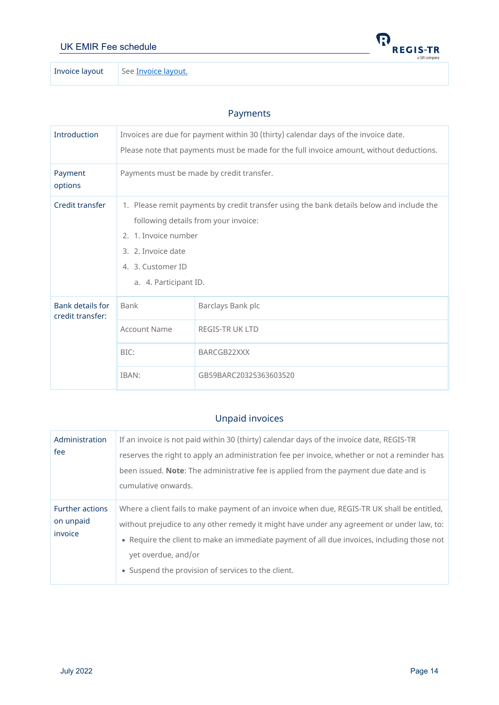<span id="page-13-0"></span>

Invoice layout Se[e Invoice layout.](#page-14-0)

#### Payments

| <b>Introduction</b>                         | Invoices are due for payment within 30 (thirty) calendar days of the invoice date.<br>Please note that payments must be made for the full invoice amount, without deductions.                                                |                                                                               |  |
|---------------------------------------------|------------------------------------------------------------------------------------------------------------------------------------------------------------------------------------------------------------------------------|-------------------------------------------------------------------------------|--|
| Payment<br>options                          | Payments must be made by credit transfer.                                                                                                                                                                                    |                                                                               |  |
| Credit transfer                             | 1. Please remit payments by credit transfer using the bank details below and include the<br>following details from your invoice:<br>2. 1. Invoice number<br>3. 2. Invoice date<br>4. 3. Customer ID<br>a. 4. Participant ID. |                                                                               |  |
| <b>Bank details for</b><br>credit transfer: | Bank<br><b>Account Name</b><br>BIC:<br>IBAN:                                                                                                                                                                                 | Barclays Bank plc<br>REGIS-TR UK LTD<br>BARCGB22XXX<br>GB59BARC20325363603520 |  |

# Unpaid invoices

<span id="page-13-1"></span>

| Administration         | If an invoice is not paid within 30 (thirty) calendar days of the invoice date, REGIS-TR     |  |  |
|------------------------|----------------------------------------------------------------------------------------------|--|--|
| fee                    | reserves the right to apply an administration fee per invoice, whether or not a reminder has |  |  |
|                        | been issued. Note: The administrative fee is applied from the payment due date and is        |  |  |
|                        | cumulative onwards.                                                                          |  |  |
| <b>Further actions</b> | Where a client fails to make payment of an invoice when due, REGIS-TR UK shall be entitled,  |  |  |
| on unpaid              | without prejudice to any other remedy it might have under any agreement or under law, to:    |  |  |
| invoice                | . Require the client to make an immediate payment of all due invoices, including those not   |  |  |
|                        | yet overdue, and/or                                                                          |  |  |
|                        | • Suspend the provision of services to the client.                                           |  |  |

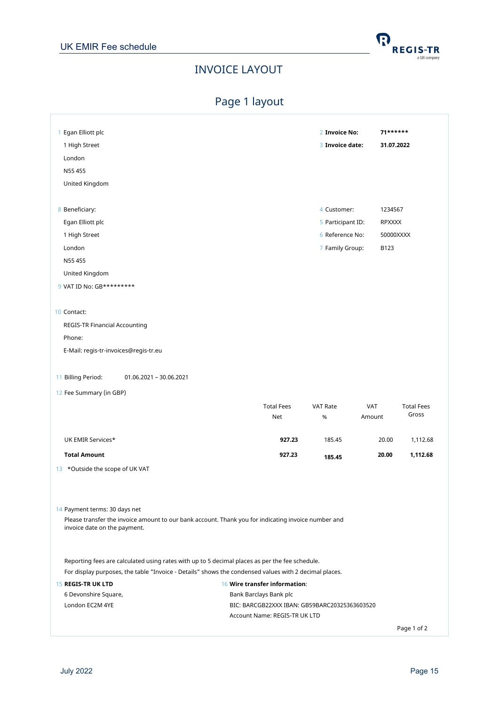

# INVOICE LAYOUT

# Page 1 layout

<span id="page-14-1"></span><span id="page-14-0"></span>

| 1 Egan Elliott plc                                                                                                                                                                                      |                                               | 2 Invoice No:     | $71******$ |                   |
|---------------------------------------------------------------------------------------------------------------------------------------------------------------------------------------------------------|-----------------------------------------------|-------------------|------------|-------------------|
| 1 High Street                                                                                                                                                                                           |                                               | 3 Invoice date:   | 31.07.2022 |                   |
| London                                                                                                                                                                                                  |                                               |                   |            |                   |
| N55 455                                                                                                                                                                                                 |                                               |                   |            |                   |
| United Kingdom                                                                                                                                                                                          |                                               |                   |            |                   |
|                                                                                                                                                                                                         |                                               |                   |            |                   |
| 8 Beneficiary:                                                                                                                                                                                          |                                               | 4 Customer:       | 1234567    |                   |
| Egan Elliott plc                                                                                                                                                                                        |                                               | 5 Participant ID: | RPXXXX     |                   |
| 1 High Street                                                                                                                                                                                           |                                               | 6 Reference No:   | 50000XXXX  |                   |
| London                                                                                                                                                                                                  |                                               | 7 Family Group:   | B123       |                   |
| N55 455                                                                                                                                                                                                 |                                               |                   |            |                   |
| United Kingdom                                                                                                                                                                                          |                                               |                   |            |                   |
| 9 VAT ID No: GB*********                                                                                                                                                                                |                                               |                   |            |                   |
|                                                                                                                                                                                                         |                                               |                   |            |                   |
| 10 Contact:                                                                                                                                                                                             |                                               |                   |            |                   |
| REGIS-TR Financial Accounting                                                                                                                                                                           |                                               |                   |            |                   |
| Phone:                                                                                                                                                                                                  |                                               |                   |            |                   |
| E-Mail: regis-tr-invoices@regis-tr.eu                                                                                                                                                                   |                                               |                   |            |                   |
|                                                                                                                                                                                                         |                                               |                   |            |                   |
| 11 Billing Period:<br>01.06.2021 - 30.06.2021                                                                                                                                                           |                                               |                   |            |                   |
| 12 Fee Summary (in GBP)                                                                                                                                                                                 |                                               |                   |            |                   |
|                                                                                                                                                                                                         | <b>Total Fees</b>                             | <b>VAT Rate</b>   | <b>VAT</b> | <b>Total Fees</b> |
|                                                                                                                                                                                                         | Net                                           | $\%$              | Amount     | Gross             |
| UK EMIR Services*                                                                                                                                                                                       | 927.23                                        | 185.45            | 20.00      | 1,112.68          |
|                                                                                                                                                                                                         |                                               |                   |            |                   |
| <b>Total Amount</b>                                                                                                                                                                                     | 927.23                                        | 185.45            | 20.00      | 1,112.68          |
| 13 *Outside the scope of UK VAT                                                                                                                                                                         |                                               |                   |            |                   |
|                                                                                                                                                                                                         |                                               |                   |            |                   |
|                                                                                                                                                                                                         |                                               |                   |            |                   |
| 14 Payment terms: 30 days net<br>Please transfer the invoice amount to our bank account. Thank you for indicating invoice number and                                                                    |                                               |                   |            |                   |
| invoice date on the payment.                                                                                                                                                                            |                                               |                   |            |                   |
|                                                                                                                                                                                                         |                                               |                   |            |                   |
|                                                                                                                                                                                                         |                                               |                   |            |                   |
| Reporting fees are calculated using rates with up to 5 decimal places as per the fee schedule.<br>For display purposes, the table "Invoice - Details" shows the condensed values with 2 decimal places. |                                               |                   |            |                   |
| <b>15 REGIS-TR UK LTD</b>                                                                                                                                                                               | 16 Wire transfer information:                 |                   |            |                   |
| 6 Devonshire Square,                                                                                                                                                                                    | Bank Barclays Bank plc                        |                   |            |                   |
| London EC2M 4YE                                                                                                                                                                                         | BIC: BARCGB22XXX IBAN: GB59BARC20325363603520 |                   |            |                   |
|                                                                                                                                                                                                         | Account Name: REGIS-TR UK LTD                 |                   |            |                   |
|                                                                                                                                                                                                         |                                               |                   |            | Page 1 of 2       |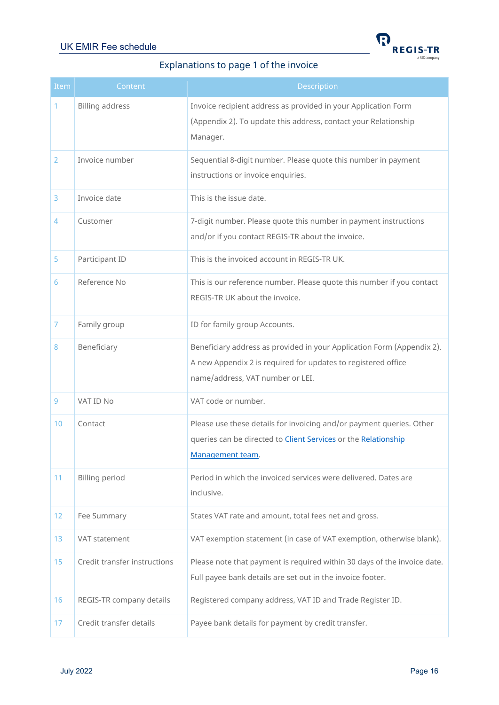

# Explanations to page 1 of the invoice

<span id="page-15-0"></span>

| Item           | Content                      | Description                                                                                                                                                                 |
|----------------|------------------------------|-----------------------------------------------------------------------------------------------------------------------------------------------------------------------------|
|                | <b>Billing address</b>       | Invoice recipient address as provided in your Application Form<br>(Appendix 2). To update this address, contact your Relationship<br>Manager.                               |
| $\overline{2}$ | Invoice number               | Sequential 8-digit number. Please quote this number in payment<br>instructions or invoice enquiries.                                                                        |
| 3              | Invoice date                 | This is the issue date.                                                                                                                                                     |
| $\overline{4}$ | Customer                     | 7-digit number. Please quote this number in payment instructions<br>and/or if you contact REGIS-TR about the invoice.                                                       |
| 5              | Participant ID               | This is the invoiced account in REGIS-TR UK.                                                                                                                                |
| 6              | Reference No                 | This is our reference number. Please quote this number if you contact<br>REGIS-TR UK about the invoice.                                                                     |
| $\overline{7}$ | Family group                 | ID for family group Accounts.                                                                                                                                               |
| 8              | Beneficiary                  | Beneficiary address as provided in your Application Form (Appendix 2).<br>A new Appendix 2 is required for updates to registered office<br>name/address, VAT number or LEI. |
| 9              | VAT ID No                    | VAT code or number.                                                                                                                                                         |
| 10             | Contact                      | Please use these details for invoicing and/or payment queries. Other<br>queries can be directed to <b>Client Services</b> or the Relationship<br>Management team.           |
| 11             | <b>Billing period</b>        | Period in which the invoiced services were delivered. Dates are<br>inclusive.                                                                                               |
| 12             | Fee Summary                  | States VAT rate and amount, total fees net and gross.                                                                                                                       |
| 13             | VAT statement                | VAT exemption statement (in case of VAT exemption, otherwise blank).                                                                                                        |
| 15             | Credit transfer instructions | Please note that payment is required within 30 days of the invoice date.<br>Full payee bank details are set out in the invoice footer.                                      |
| 16             | REGIS-TR company details     | Registered company address, VAT ID and Trade Register ID.                                                                                                                   |
| 17             | Credit transfer details      | Payee bank details for payment by credit transfer.                                                                                                                          |